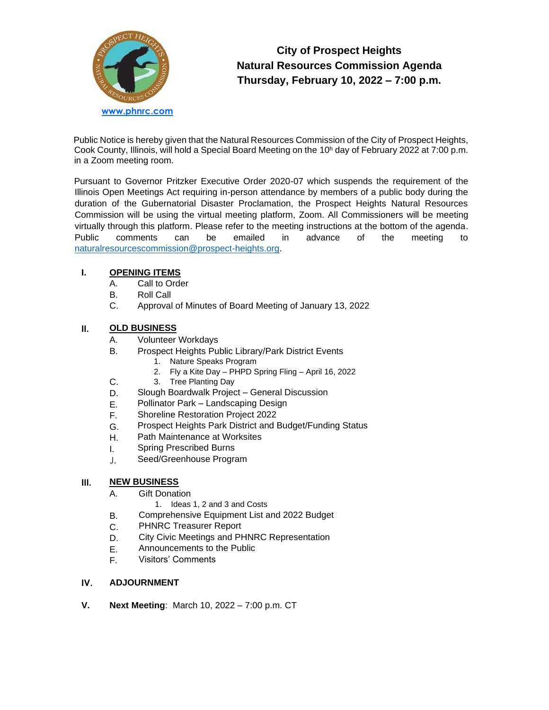

# **City of Prospect Heights Natural Resources Commission Agenda Thursday, February 10, 2022 – 7:00 p.m.**

Public Notice is hereby given that the Natural Resources Commission of the City of Prospect Heights, Cook County, Illinois, will hold a Special Board Meeting on the 10<sup>h</sup> day of February 2022 at 7:00 p.m. in a Zoom meeting room.

Pursuant to Governor Pritzker Executive Order 2020-07 which suspends the requirement of the Illinois Open Meetings Act requiring in-person attendance by members of a public body during the duration of the Gubernatorial Disaster Proclamation, the Prospect Heights Natural Resources Commission will be using the virtual meeting platform, Zoom. All Commissioners will be meeting virtually through this platform. Please refer to the meeting instructions at the bottom of the agenda. Public comments can be emailed in advance of the meeting to [naturalresourcescommission@prospect-heights.org.](mailto:naturalresourcescommission@prospect-heights.org)

## **I. OPENING ITEMS**

- A. Call to Order
- B. Roll Call
- C. Approval of Minutes of Board Meeting of January 13, 2022

## **II. OLD BUSINESS**

C.

- A. Volunteer Workdays
- B. Prospect Heights Public Library/Park District Events
	- 1. Nature Speaks Program
	- 2. Fly a Kite Day PHPD Spring Fling April 16, 2022
	- 3. Tree Planting Day
- D. Slough Boardwalk Project – General Discussion
- E. Pollinator Park – Landscaping Design
- F. Shoreline Restoration Project 2022
- G. Prospect Heights Park District and Budget/Funding Status
- H. Path Maintenance at Worksites
- I. Spring Prescribed Burns
- J. Seed/Greenhouse Program

#### **III. NEW BUSINESS**

B.

- A. Gift Donation
	- 1. Ideas 1, 2 and 3 and Costs
	- Comprehensive Equipment List and 2022 Budget
- C. PHNRC Treasurer Report
- D. City Civic Meetings and PHNRC Representation
- E. Announcements to the Public
- F. Visitors' Comments

#### **IV. ADJOURNMENT**

**V. Next Meeting**: March 10, 2022 – 7:00 p.m. CT